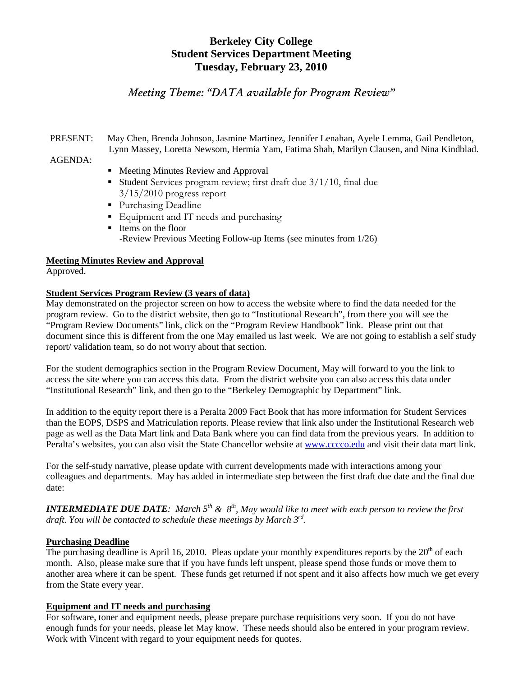# **Berkeley City College Student Services Department Meeting Tuesday, February 23, 2010**

# *Meeting Theme: "DATA available for Program Review"*

PRESENT: May Chen, Brenda Johnson, Jasmine Martinez, Jennifer Lenahan, Ayele Lemma, Gail Pendleton, Lynn Massey, Loretta Newsom, Hermia Yam, Fatima Shah, Marilyn Clausen, and Nina Kindblad.

### AGENDA:

- Meeting Minutes Review and Approval Student Services program review; first draft due  $3/1/10$ , final due 3/15/2010 progress report
- Purchasing Deadline
- Equipment and IT needs and purchasing
- Items on the floor -Review Previous Meeting Follow-up Items (see minutes from 1/26)

### **Meeting Minutes Review and Approval**

Approved.

### **Student Services Program Review (3 years of data)**

May demonstrated on the projector screen on how to access the website where to find the data needed for the program review. Go to the district website, then go to "Institutional Research", from there you will see the "Program Review Documents" link, click on the "Program Review Handbook" link. Please print out that document since this is different from the one May emailed us last week. We are not going to establish a self study report/ validation team, so do not worry about that section.

For the student demographics section in the Program Review Document, May will forward to you the link to access the site where you can access this data. From the district website you can also access this data under "Institutional Research" link, and then go to the "Berkeley Demographic by Department" link.

In addition to the equity report there is a Peralta 2009 Fact Book that has more information for Student Services than the EOPS, DSPS and Matriculation reports. Please review that link also under the Institutional Research web page as well as the Data Mart link and Data Bank where you can find data from the previous years. In addition to Peralta's websites, you can also visit the State Chancellor website at [www.cccco.edu](http://www.cccco.edu/) and visit their data mart link.

For the self-study narrative, please update with current developments made with interactions among your colleagues and departments. May has added in intermediate step between the first draft due date and the final due date:

*INTERMEDIATE DUE DATE: March*  $5<sup>th</sup>$  &  $8<sup>th</sup>$ , *May would like to meet with each person to review the first draft. You will be contacted to schedule these meetings by March 3rd.*

### **Purchasing Deadline**

The purchasing deadline is April 16, 2010. Pleas update your monthly expenditures reports by the  $20<sup>th</sup>$  of each month. Also, please make sure that if you have funds left unspent, please spend those funds or move them to another area where it can be spent. These funds get returned if not spent and it also affects how much we get every from the State every year.

### **Equipment and IT needs and purchasing**

For software, toner and equipment needs, please prepare purchase requisitions very soon. If you do not have enough funds for your needs, please let May know. These needs should also be entered in your program review. Work with Vincent with regard to your equipment needs for quotes.